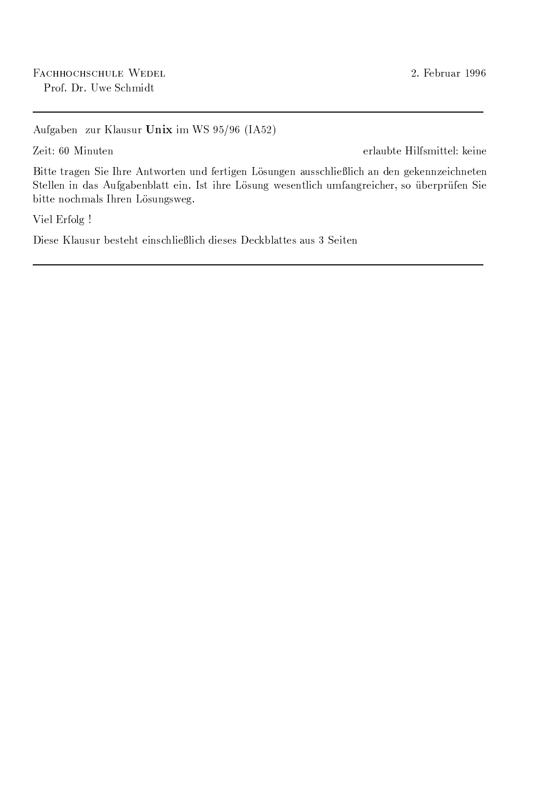Aufgaben zur Klausur Unix im WS 95/96 (IA52)

Zeit: 60 Minuten

erlaubte Hilfsmittel: keine

Bitte tragen Sie Ihre Antworten und fertigen Lösungen ausschließlich an den gekennzeichneten Stellen in das Aufgabenblatt ein. Ist ihre Lösung wesentlich umfangreicher, so überprüfen Sie bitte nochmals Ihren Lösungsweg.

Viel Erfolg !

Diese Klausur besteht einschließlich dieses Deckblattes aus 3 Seiten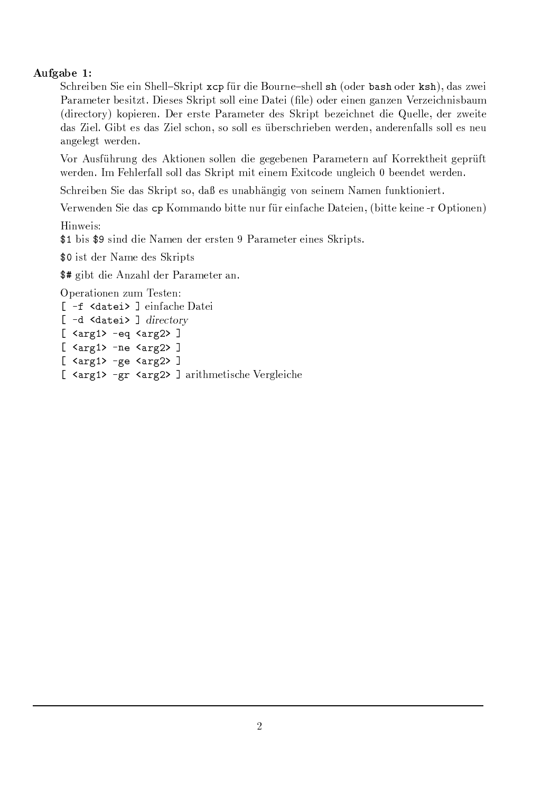## Aufgabe 1:

Schreiben Sie ein Shell-Skript xcp für die Bourne-shell sh (oder bash oder ksh), das zwei Parameter besitzt. Dieses Skript soll eine Datei (file) oder einen ganzen Verzeichnisbaum (directory) kopieren. Der erste Parameter des Skript bezeichnet die Quelle, der zweite das Ziel. Gibt es das Ziel schon, so soll es überschrieben werden, anderenfalls soll es neu angelegt werden.

Vor Ausführung des Aktionen sollen die gegebenen Parametern auf Korrektheit geprüft werden. Im Fehlerfall soll das Skript mit einem Exitcode ungleich 0 beendet werden.

Schreiben Sie das Skript so, daß es unabhängig von seinem Namen funktioniert.

Verwenden Sie das cp Kommando bitte nur für einfache Dateien, (bitte keine -r Optionen)

Hinweis:

\$1 bis \$9 sind die Namen der ersten 9 Parameter eines Skripts.

\$0 ist der Name des Skripts

\$# gibt die Anzahl der Parameter an.

Operationen zum Testen:

```
[ -f <datei> ] einfache Datei
[ -d <datei> ] directory
[ \langle \text{arg1} \rangle -eq \langle \text{arg2} \rangle ]
[\text{~}\langle \text{arg1} \rangle - \text{ne~}\langle \text{arg2} \rangle][ <arg1> -ge <arg2> ][ <arg1> -gr <arg2> ] arithmetische Vergleiche
```